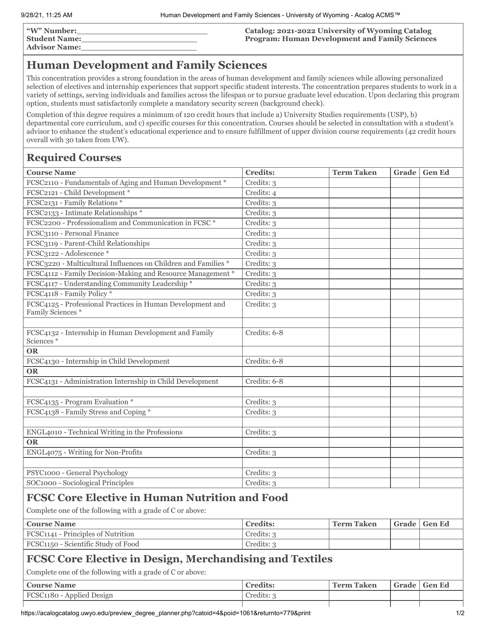**"W" Number:\_\_\_\_\_\_\_\_\_\_\_\_\_\_\_\_\_\_\_\_\_\_\_\_\_\_ Student Name:\_\_\_\_\_\_\_\_\_\_\_\_\_\_\_\_\_\_\_\_\_\_\_**

**Advisor Name:\_\_\_\_\_\_\_\_\_\_\_\_\_\_\_\_\_\_\_\_\_\_\_**

**Catalog: 2021-2022 University of Wyoming Catalog Program: Human Development and Family Sciences**

## **Human Development and Family Sciences**

This concentration provides a strong foundation in the areas of human development and family sciences while allowing personalized selection of electives and internship experiences that support specific student interests. The concentration prepares students to work in a variety of settings, serving individuals and families across the lifespan or to pursue graduate level education. Upon declaring this program option, students must satisfactorily complete a mandatory security screen (background check).

Completion of this degree requires a minimum of 120 credit hours that include a) University Studies requirements (USP), b) departmental core curriculum, and c) specific courses for this concentration. Courses should be selected in consultation with a student's advisor to enhance the student's educational experience and to ensure fulfillment of upper division course requirements (42 credit hours overall with 30 taken from UW).

## **Required Courses**

| <b>Course Name</b>                                                              | <b>Credits:</b> | <b>Term Taken</b> | Grade | <b>Gen Ed</b> |  |  |
|---------------------------------------------------------------------------------|-----------------|-------------------|-------|---------------|--|--|
| FCSC2110 - Fundamentals of Aging and Human Development *                        | Credits: 3      |                   |       |               |  |  |
| FCSC2121 - Child Development *                                                  | Credits: 4      |                   |       |               |  |  |
| FCSC2131 - Family Relations *                                                   | Credits: 3      |                   |       |               |  |  |
| FCSC2133 - Intimate Relationships *                                             | Credits: 3      |                   |       |               |  |  |
| FCSC2200 - Professionalism and Communication in FCSC *                          | Credits: 3      |                   |       |               |  |  |
| FCSC3110 - Personal Finance                                                     | Credits: 3      |                   |       |               |  |  |
| FCSC3119 - Parent-Child Relationships                                           | Credits: 3      |                   |       |               |  |  |
| FCSC3122 - Adolescence *                                                        | Credits: 3      |                   |       |               |  |  |
| FCSC3220 - Multicultural Influences on Children and Families *                  | Credits: 3      |                   |       |               |  |  |
| FCSC4112 - Family Decision-Making and Resource Management *                     | Credits: 3      |                   |       |               |  |  |
| FCSC4117 - Understanding Community Leadership *                                 | Credits: 3      |                   |       |               |  |  |
| FCSC4118 - Family Policy*                                                       | Credits: 3      |                   |       |               |  |  |
| FCSC4125 - Professional Practices in Human Development and<br>Family Sciences * | Credits: 3      |                   |       |               |  |  |
| FCSC4132 - Internship in Human Development and Family<br>Sciences *             | Credits: 6-8    |                   |       |               |  |  |
| <b>OR</b>                                                                       |                 |                   |       |               |  |  |
| FCSC4130 - Internship in Child Development                                      | Credits: 6-8    |                   |       |               |  |  |
| <b>OR</b>                                                                       |                 |                   |       |               |  |  |
| FCSC4131 - Administration Internship in Child Development                       | Credits: 6-8    |                   |       |               |  |  |
|                                                                                 |                 |                   |       |               |  |  |
| FCSC4135 - Program Evaluation *                                                 | Credits: 3      |                   |       |               |  |  |
| FCSC4138 - Family Stress and Coping *                                           | Credits: 3      |                   |       |               |  |  |
| ENGL4010 - Technical Writing in the Professions                                 | Credits: 3      |                   |       |               |  |  |
| <b>OR</b>                                                                       |                 |                   |       |               |  |  |
| ENGL4075 - Writing for Non-Profits                                              | Credits: 3      |                   |       |               |  |  |
| PSYC1000 - General Psychology                                                   | Credits: 3      |                   |       |               |  |  |
| SOC1000 - Sociological Principles                                               | Credits: 3      |                   |       |               |  |  |
| <b>FCSC Core Elective in Human Nutrition and Food</b>                           |                 |                   |       |               |  |  |
| Complete one of the following with a grade of C or above:                       |                 |                   |       |               |  |  |
| <b>Course Name</b>                                                              | <b>Credits:</b> | <b>Term Taken</b> | Grade | <b>Gen Ed</b> |  |  |
| FCSC1141 - Principles of Nutrition                                              | Credits: 3      |                   |       |               |  |  |
| FCSC1150 - Scientific Study of Food                                             | Credits: 3      |                   |       |               |  |  |
| <b>FCSC Core Elective in Design, Merchandising and Textiles</b>                 |                 |                   |       |               |  |  |

Complete one of the following with a grade of C or above:

| Course Name                      | <b>Credits:</b> | ' Term Taken | Grade   Gen Ed |
|----------------------------------|-----------------|--------------|----------------|
| <b>FCSC1180 - Applied Design</b> | Credits: 3      |              |                |
|                                  |                 |              |                |